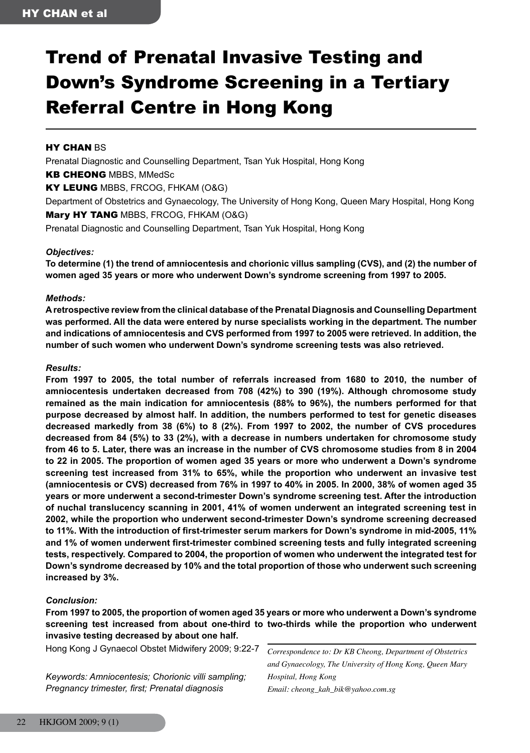# Trend of Prenatal Invasive Testing and Down's Syndrome Screening in a Tertiary Referral Centre in Hong Kong

## **HY CHAN BS**

Prenatal Diagnostic and Counselling Department, Tsan Yuk Hospital, Hong Kong KB CHEONG MBBS, MMedSc KY LEUNG MBBS, FRCOG, FHKAM (O&G) Department of Obstetrics and Gynaecology, The University of Hong Kong, Queen Mary Hospital, Hong Kong Mary HY TANG MBBS, FRCOG, FHKAM (O&G)

Prenatal Diagnostic and Counselling Department, Tsan Yuk Hospital, Hong Kong

#### *Objectives:*

**To determine (1) the trend of amniocentesis and chorionic villus sampling (CVS), and (2) the number of women aged 35 years or more who underwent Down's syndrome screening from 1997 to 2005.**

#### *Methods:*

**A retrospective review from the clinical database of the Prenatal Diagnosis and Counselling Department was performed. All the data were entered by nurse specialists working in the department. The number and indications of amniocentesis and CVS performed from 1997 to 2005 were retrieved. In addition, the number of such women who underwent Down's syndrome screening tests was also retrieved.**

#### *Results:*

**From 1997 to 2005, the total number of referrals increased from 1680 to 2010, the number of amniocentesis undertaken decreased from 708 (42%) to 390 (19%). Although chromosome study remained as the main indication for amniocentesis (88% to 96%), the numbers performed for that purpose decreased by almost half. In addition, the numbers performed to test for genetic diseases decreased markedly from 38 (6%) to 8 (2%). From 1997 to 2002, the number of CVS procedures decreased from 84 (5%) to 33 (2%), with a decrease in numbers undertaken for chromosome study from 46 to 5. Later, there was an increase in the number of CVS chromosome studies from 8 in 2004 to 22 in 2005. The proportion of women aged 35 years or more who underwent a Down's syndrome screening test increased from 31% to 65%, while the proportion who underwent an invasive test (amniocentesis or CVS) decreased from 76% in 1997 to 40% in 2005. In 2000, 38% of women aged 35 years or more underwent a second-trimester Down's syndrome screening test. After the introduction of nuchal translucency scanning in 2001, 41% of women underwent an integrated screening test in 2002, while the proportion who underwent second-trimester Down's syndrome screening decreased to 11%. With the introduction of first-trimester serum markers for Down's syndrome in mid-2005, 11% and 1% of women underwent first-trimester combined screening tests and fully integrated screening tests, respectively. Compared to 2004, the proportion of women who underwent the integrated test for Down's syndrome decreased by 10% and the total proportion of those who underwent such screening increased by 3%.**

## *Conclusion:*

**From 1997 to 2005, the proportion of women aged 35 years or more who underwent a Down's syndrome screening test increased from about one-third to two-thirds while the proportion who underwent invasive testing decreased by about one half.**

Hong Kong J Gynaecol Obstet Midwifery 2009; 9:22-7

*Keywords: Amniocentesis; Chorionic villi sampling; Pregnancy trimester, first; Prenatal diagnosis*

*Correspondence to: Dr KB Cheong, Department of Obstetrics and Gynaecology, The University of Hong Kong, Queen Mary Hospital, Hong Kong Email: cheong\_kah\_bik@yahoo.com.sg*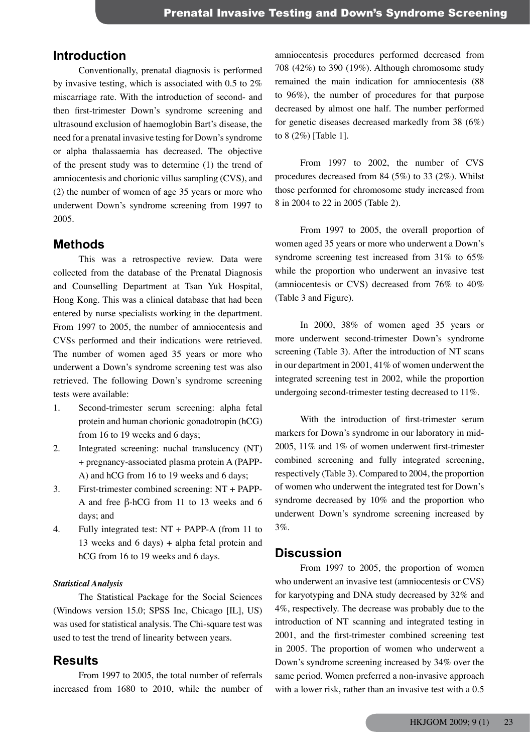# **Introduction**

Conventionally, prenatal diagnosis is performed by invasive testing, which is associated with 0.5 to 2% miscarriage rate. With the introduction of second- and then first-trimester Down's syndrome screening and ultrasound exclusion of haemoglobin Bart's disease, the need for a prenatal invasive testing for Down's syndrome or alpha thalassaemia has decreased. The objective of the present study was to determine (1) the trend of amniocentesis and chorionic villus sampling (CVS), and (2) the number of women of age 35 years or more who underwent Down's syndrome screening from 1997 to 2005.

## **Methods**

This was a retrospective review. Data were collected from the database of the Prenatal Diagnosis and Counselling Department at Tsan Yuk Hospital, Hong Kong. This was a clinical database that had been entered by nurse specialists working in the department. From 1997 to 2005, the number of amniocentesis and CVSs performed and their indications were retrieved. The number of women aged 35 years or more who underwent a Down's syndrome screening test was also retrieved. The following Down's syndrome screening tests were available:

- 1. Second-trimester serum screening: alpha fetal protein and human chorionic gonadotropin (hCG) from 16 to 19 weeks and 6 days;
- 2. Integrated screening: nuchal translucency (NT) + pregnancy-associated plasma protein A (PAPP-A) and hCG from 16 to 19 weeks and 6 days;
- 3. First-trimester combined screening: NT + PAPP-A and free β-hCG from 11 to 13 weeks and 6 days; and
- 4. Fully integrated test: NT + PAPP-A (from 11 to 13 weeks and 6 days) + alpha fetal protein and hCG from 16 to 19 weeks and 6 days.

#### *Statistical Analysis*

The Statistical Package for the Social Sciences (Windows version 15.0; SPSS Inc, Chicago [IL], US) was used for statistical analysis. The Chi-square test was used to test the trend of linearity between years.

## **Results**

From 1997 to 2005, the total number of referrals increased from 1680 to 2010, while the number of

amniocentesis procedures performed decreased from 708 (42%) to 390 (19%). Although chromosome study remained the main indication for amniocentesis (88 to 96%), the number of procedures for that purpose decreased by almost one half. The number performed for genetic diseases decreased markedly from 38 (6%) to 8 (2%) [Table 1].

From 1997 to 2002, the number of CVS procedures decreased from 84 (5%) to 33 (2%). Whilst those performed for chromosome study increased from 8 in 2004 to 22 in 2005 (Table 2).

From 1997 to 2005, the overall proportion of women aged 35 years or more who underwent a Down's syndrome screening test increased from 31% to 65% while the proportion who underwent an invasive test (amniocentesis or CVS) decreased from 76% to 40% (Table 3 and Figure).

In 2000, 38% of women aged 35 years or more underwent second-trimester Down's syndrome screening (Table 3). After the introduction of NT scans in our department in 2001, 41% of women underwent the integrated screening test in 2002, while the proportion undergoing second-trimester testing decreased to 11%.

With the introduction of first-trimester serum markers for Down's syndrome in our laboratory in mid-2005, 11% and 1% of women underwent first-trimester combined screening and fully integrated screening, respectively (Table 3). Compared to 2004, the proportion of women who underwent the integrated test for Down's syndrome decreased by 10% and the proportion who underwent Down's syndrome screening increased by 3%.

## **Discussion**

From 1997 to 2005, the proportion of women who underwent an invasive test (amniocentesis or CVS) for karyotyping and DNA study decreased by 32% and 4%, respectively. The decrease was probably due to the introduction of NT scanning and integrated testing in 2001, and the first-trimester combined screening test in 2005. The proportion of women who underwent a Down's syndrome screening increased by 34% over the same period. Women preferred a non-invasive approach with a lower risk, rather than an invasive test with a 0.5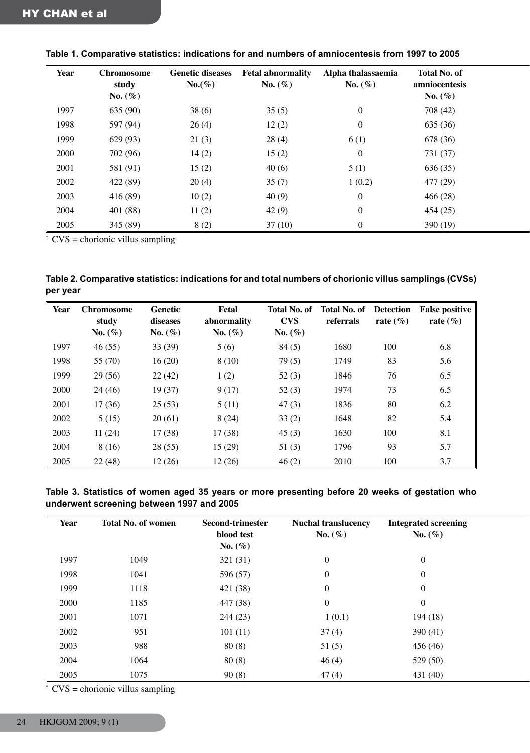| Year | Chromosome          | <b>Genetic diseases</b> | <b>Fetal abnormality</b> | Alpha thalassaemia | <b>Total No. of</b>         |
|------|---------------------|-------------------------|--------------------------|--------------------|-----------------------------|
|      | study<br>No. $(\%)$ | $No.(\%)$               | No. $(\%)$               | No. $(\%)$         | amniocentesis<br>No. $(\%)$ |
| 1997 | 635 (90)            | 38(6)                   | 35(5)                    | $\overline{0}$     | 708 (42)                    |
| 1998 | 597 (94)            | 26(4)                   | 12(2)                    | $\bf{0}$           | 635 (36)                    |
| 1999 | 629 (93)            | 21(3)                   | 28(4)                    | 6(1)               | 678 (36)                    |
| 2000 | 702 (96)            | 14(2)                   | 15(2)                    | $\boldsymbol{0}$   | 731 (37)                    |
| 2001 | 581 (91)            | 15(2)                   | 40(6)                    | 5(1)               | 636 (35)                    |
| 2002 | 422 (89)            | 20(4)                   | 35(7)                    | 1(0.2)             | 477 (29)                    |
| 2003 | 416(89)             | 10(2)                   | 40(9)                    | $\overline{0}$     | 466(28)                     |
| 2004 | 401(88)             | 11(2)                   | 42(9)                    | $\bf{0}$           | 454(25)                     |
| 2005 | 345 (89)            | 8(2)                    | 37(10)                   | 0                  | 390(19)                     |

**Table 1. Comparative statistics: indications for and numbers of amniocentesis from 1997 to 2005**

 $*$  CVS = chorionic villus sampling

| Table 2. Comparative statistics: indications for and total numbers of chorionic villus samplings (CVSs) |
|---------------------------------------------------------------------------------------------------------|
| per year                                                                                                |

| Year | <b>Chromosome</b><br>study | <b>Genetic</b><br>diseases | Fetal<br>abnormality | Total No. of<br><b>CVS</b> | <b>Total No. of Detection</b><br>referrals | rate $(\% )$ | <b>False positive</b><br>rate $(\% )$ |
|------|----------------------------|----------------------------|----------------------|----------------------------|--------------------------------------------|--------------|---------------------------------------|
|      | No. $(\% )$                | No. $(\%)$                 | No. $(\%)$           | No. $(\%)$                 |                                            |              |                                       |
| 1997 | 46(55)                     | 33(39)                     | 5(6)                 | 84(5)                      | 1680                                       | 100          | 6.8                                   |
| 1998 | 55 (70)                    | 16(20)                     | 8(10)                | 79(5)                      | 1749                                       | 83           | 5.6                                   |
| 1999 | 29 (56)                    | 22(42)                     | 1(2)                 | 52(3)                      | 1846                                       | 76           | 6.5                                   |
| 2000 | 24 (46)                    | 19(37)                     | 9(17)                | 52(3)                      | 1974                                       | 73           | 6.5                                   |
| 2001 | 17(36)                     | 25(53)                     | 5(11)                | 47(3)                      | 1836                                       | 80           | 6.2                                   |
| 2002 | 5(15)                      | 20(61)                     | 8(24)                | 33(2)                      | 1648                                       | 82           | 5.4                                   |
| 2003 | 11(24)                     | 17(38)                     | 17(38)               | 45(3)                      | 1630                                       | 100          | 8.1                                   |
| 2004 | 8 (16)                     | 28(55)                     | 15(29)               | 51(3)                      | 1796                                       | 93           | 5.7                                   |
| 2005 | 22(48)                     | 12(26)                     | 12(26)               | 46(2)                      | 2010                                       | 100          | 3.7                                   |

**Table 3. Statistics of women aged 35 years or more presenting before 20 weeks of gestation who underwent screening between 1997 and 2005**

| <b>Year</b> | <b>Total No. of women</b> | <b>Second-trimester</b><br>blood test | <b>Nuchal translucency</b><br>No. $(\%)$ | <b>Integrated screening</b><br>No. $(\%)$ |  |
|-------------|---------------------------|---------------------------------------|------------------------------------------|-------------------------------------------|--|
|             |                           | No. $(\%)$                            |                                          |                                           |  |
| 1997        | 1049                      | 321(31)                               | $\mathbf{0}$                             | $\mathbf{0}$                              |  |
| 1998        | 1041                      | 596 (57)                              | $\mathbf{0}$                             | $\theta$                                  |  |
| 1999        | 1118                      | 421 (38)                              | $\boldsymbol{0}$                         | $\overline{0}$                            |  |
| 2000        | 1185                      | 447 (38)                              | $\mathbf{0}$                             | $\overline{0}$                            |  |
| 2001        | 1071                      | 244(23)                               | 1(0.1)                                   | 194(18)                                   |  |
| 2002        | 951                       | 101(11)                               | 37(4)                                    | 390(41)                                   |  |
| 2003        | 988                       | 80(8)                                 | 51(5)                                    | 456(46)                                   |  |
| 2004        | 1064                      | 80(8)                                 | 46(4)                                    | 529 (50)                                  |  |
| 2005        | 1075                      | 90(8)                                 | 47(4)                                    | 431(40)                                   |  |

 $CVS =$  chorionic villus sampling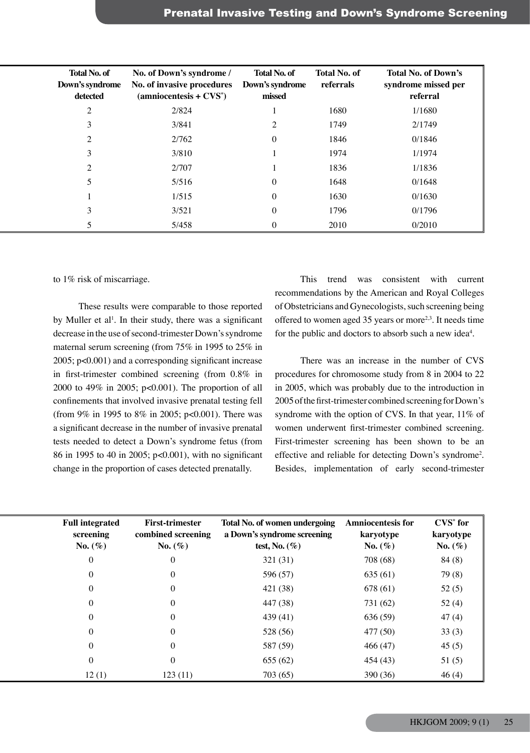| <b>Total No. of</b><br>Down's syndrome<br>detected | No. of Down's syndrome /<br>No. of invasive procedures<br>$(anniocentesis + CVS^*)$ | Total No. of<br>Down's syndrome<br>missed | <b>Total No. of</b><br>referrals | <b>Total No. of Down's</b><br>syndrome missed per<br>referral |
|----------------------------------------------------|-------------------------------------------------------------------------------------|-------------------------------------------|----------------------------------|---------------------------------------------------------------|
| $\sim$                                             | 2/824                                                                               |                                           | 1680                             | 1/1680                                                        |
|                                                    | 3/841                                                                               | $\sim$                                    | 1749                             | 2/1749                                                        |
| $\sim$                                             | 2/762                                                                               |                                           | 1846                             | 0/1846                                                        |
|                                                    | 3/810                                                                               |                                           | 1974                             | 1/1974                                                        |
|                                                    | 2/707                                                                               |                                           | 1836                             | 1/1836                                                        |
|                                                    | 5/516                                                                               |                                           | 1648                             | 0/1648                                                        |
|                                                    | 1/515                                                                               |                                           | 1630                             | 0/1630                                                        |
|                                                    | 3/521                                                                               |                                           | 1796                             | 0/1796                                                        |
|                                                    | 5/458                                                                               |                                           | 2010                             | 0/2010                                                        |

#### to 1% risk of miscarriage.

These results were comparable to those reported by Muller et al<sup>1</sup>. In their study, there was a significant decrease in the use of second-trimester Down's syndrome maternal serum screening (from 75% in 1995 to 25% in 2005; p<0.001) and a corresponding significant increase in first-trimester combined screening (from 0.8% in 2000 to 49% in 2005; p<0.001). The proportion of all confinements that involved invasive prenatal testing fell (from 9% in 1995 to 8% in 2005; p<0.001). There was a significant decrease in the number of invasive prenatal tests needed to detect a Down's syndrome fetus (from 86 in 1995 to 40 in 2005; p<0.001), with no significant change in the proportion of cases detected prenatally.

This trend was consistent with current recommendations by the American and Royal Colleges of Obstetricians and Gynecologists, such screening being offered to women aged  $35$  years or more<sup>2,3</sup>. It needs time for the public and doctors to absorb such a new idea<sup>4</sup>.

There was an increase in the number of CVS procedures for chromosome study from 8 in 2004 to 22 in 2005, which was probably due to the introduction in 2005 of the first-trimester combined screening for Down's syndrome with the option of CVS. In that year, 11% of women underwent first-trimester combined screening. First-trimester screening has been shown to be an effective and reliable for detecting Down's syndrome<sup>2</sup> . Besides, implementation of early second-trimester

| <b>Full integrated</b><br>screening | <b>First-trimester</b><br>combined screening | Total No. of women undergoing<br>a Down's syndrome screening | <b>Amniocentesis for</b><br>karyotype | $\mathbf{CVS}^*$ for<br>karyotype |
|-------------------------------------|----------------------------------------------|--------------------------------------------------------------|---------------------------------------|-----------------------------------|
| No. $(\%)$                          | No. $(\%)$                                   | test, No. $(\%)$                                             | No. $(\%)$                            | No. $(\%)$                        |
|                                     | $\overline{0}$                               | 321(31)                                                      | 708 (68)                              | 84(8)                             |
|                                     | $\overline{0}$                               | 596 (57)                                                     | 635(61)                               | 79 (8)                            |
|                                     |                                              | 421 (38)                                                     | 678 (61)                              | 52(5)                             |
|                                     |                                              | 447 (38)                                                     | 731 (62)                              | 52(4)                             |
|                                     | $\overline{0}$                               | 439(41)                                                      | 636 (59)                              | 47(4)                             |
|                                     | $\theta$                                     | 528 (56)                                                     | 477 (50)                              | 33(3)                             |
|                                     | $\Omega$                                     | 587 (59)                                                     | 466(47)                               | 45(5)                             |
|                                     | $\overline{0}$                               | 655(62)                                                      | 454(43)                               | 51(5)                             |
| 12(1)                               | 123(11)                                      | 703 (65)                                                     | 390 (36)                              | 46(4)                             |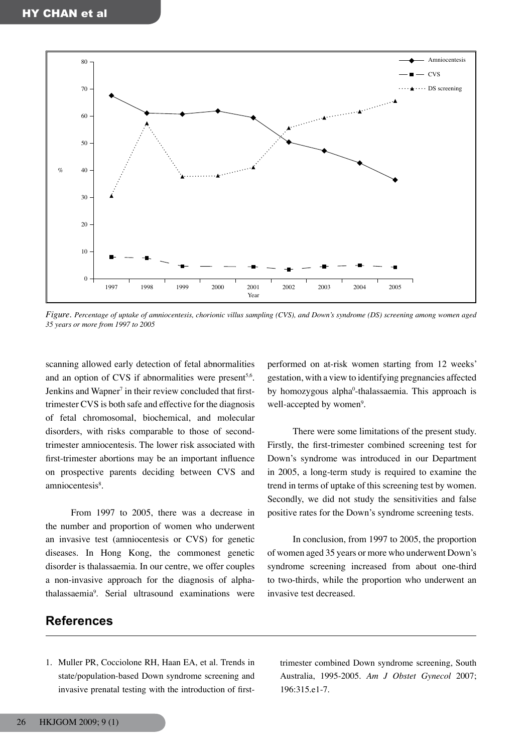

*Figure. Percentage of uptake of amniocentesis, chorionic villus sampling (CVS), and Down's syndrome (DS) screening among women aged 35 years or more from 1997 to 2005*

scanning allowed early detection of fetal abnormalities and an option of CVS if abnormalities were present<sup>5,6</sup>. Jenkins and Wapner<sup>7</sup> in their review concluded that firsttrimester CVS is both safe and effective for the diagnosis of fetal chromosomal, biochemical, and molecular disorders, with risks comparable to those of secondtrimester amniocentesis. The lower risk associated with first-trimester abortions may be an important influence on prospective parents deciding between CVS and amniocentesis<sup>8</sup>.

From 1997 to 2005, there was a decrease in the number and proportion of women who underwent an invasive test (amniocentesis or CVS) for genetic diseases. In Hong Kong, the commonest genetic disorder is thalassaemia. In our centre, we offer couples a non-invasive approach for the diagnosis of alphathalassaemia9 . Serial ultrasound examinations were performed on at-risk women starting from 12 weeks' gestation, with a view to identifying pregnancies affected by homozygous alpha<sup>0</sup>-thalassaemia. This approach is well-accepted by women<sup>9</sup>.

There were some limitations of the present study. Firstly, the first-trimester combined screening test for Down's syndrome was introduced in our Department in 2005, a long-term study is required to examine the trend in terms of uptake of this screening test by women. Secondly, we did not study the sensitivities and false positive rates for the Down's syndrome screening tests.

In conclusion, from 1997 to 2005, the proportion of women aged 35 years or more who underwent Down's syndrome screening increased from about one-third to two-thirds, while the proportion who underwent an invasive test decreased.

# **References**

1. Muller PR, Cocciolone RH, Haan EA, et al. Trends in state/population-based Down syndrome screening and invasive prenatal testing with the introduction of firsttrimester combined Down syndrome screening, South Australia, 1995-2005. *Am J Obstet Gynecol* 2007; 196:315.e1-7.